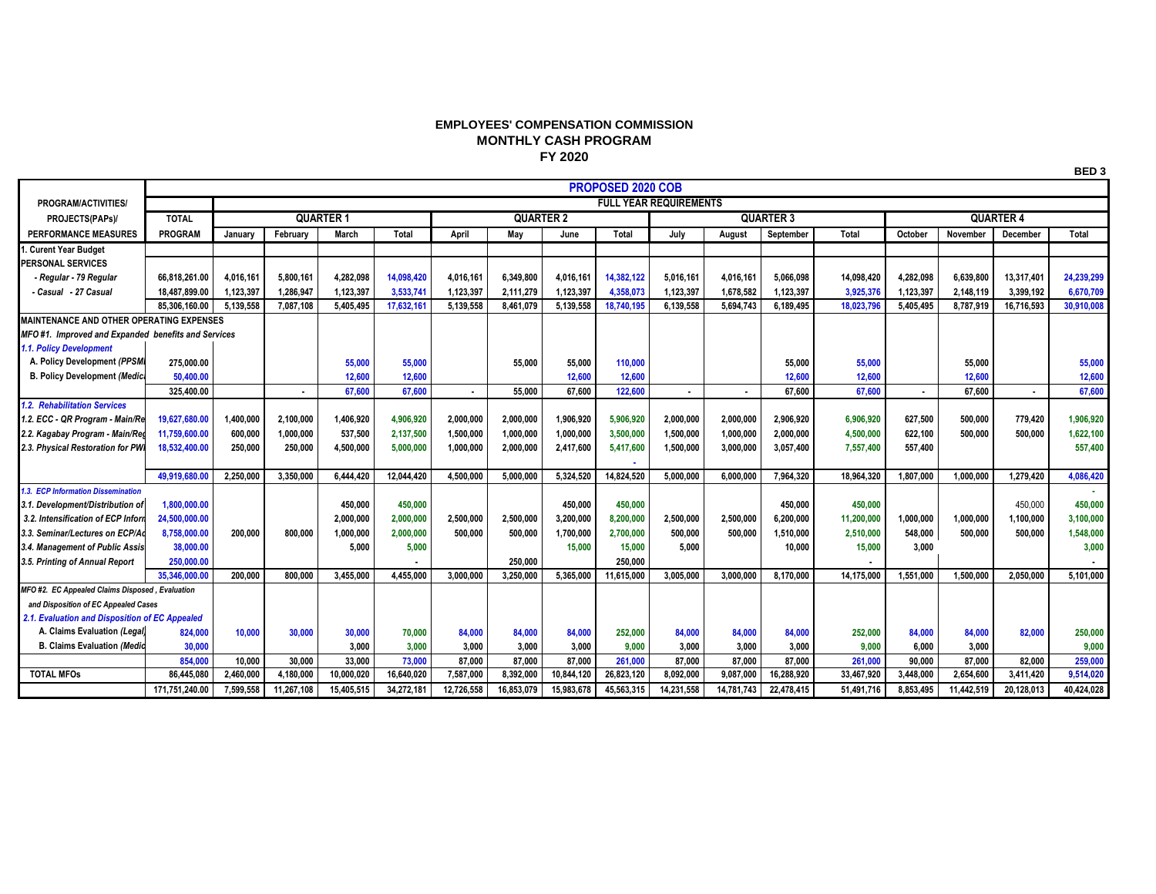## **EMPLOYEES' COMPENSATION COMMISSION MONTHLY CASH PROGRAM FY 2020**

|                                                    |                | <b>PROPOSED 2020 COB</b>      |            |            |              |                  |            |            |            |                  |            |            |            |                  |            |            |            |
|----------------------------------------------------|----------------|-------------------------------|------------|------------|--------------|------------------|------------|------------|------------|------------------|------------|------------|------------|------------------|------------|------------|------------|
| PROGRAM/ACTIVITIES/                                |                | <b>FULL YEAR REQUIREMENTS</b> |            |            |              |                  |            |            |            |                  |            |            |            |                  |            |            |            |
| PROJECTS(PAPs)/                                    | <b>TOTAL</b>   | <b>QUARTER 1</b>              |            |            |              | <b>QUARTER 2</b> |            |            |            | <b>QUARTER 3</b> |            |            |            | <b>QUARTER 4</b> |            |            |            |
| <b>PERFORMANCE MEASURES</b>                        | <b>PROGRAM</b> | January                       | February   | March      | <b>Total</b> | April            | Mav        | June       | Total      | July             | August     | September  | Total      | October          | November   | December   | Total      |
| . Curent Year Budget                               |                |                               |            |            |              |                  |            |            |            |                  |            |            |            |                  |            |            |            |
| PERSONAL SERVICES                                  |                |                               |            |            |              |                  |            |            |            |                  |            |            |            |                  |            |            |            |
| - Regular - 79 Regular                             | 66.818.261.00  | 4.016.161                     | 5,800,161  | 4.282.098  | 14.098.420   | 4,016,161        | 6,349,800  | 4,016,161  | 14.382.122 | 5,016,161        | 4,016,161  | 5.066.098  | 14.098.420 | 4.282.098        | 6.639.800  | 13,317,401 | 24,239,299 |
| - Casual - 27 Casual                               | 18,487,899.00  | 1.123.397                     | 1.286.947  | 1.123.397  | 3.533.741    | 1.123.397        | 2,111,279  | 1,123,397  | 4.358.073  | 1.123.397        | 1.678.582  | 1.123.397  | 3.925.376  | 1.123.397        | 2.148.119  | 3.399.192  | 6,670,709  |
|                                                    | 85.306.160.00  | 5.139.558                     | 7.087.108  | 5.405.495  | 17,632,161   | 5.139.558        | 8,461,079  | 5,139,558  | 18,740,195 | 6,139,558        | 5.694.743  | 6.189.495  | 18,023,796 | 5.405.495        | 8,787,919  | 16.716.593 | 30,910,008 |
| <b>MAINTENANCE AND OTHER OPERATING EXPENSES</b>    |                |                               |            |            |              |                  |            |            |            |                  |            |            |            |                  |            |            |            |
| MFO#1. Improved and Expanded benefits and Services |                |                               |            |            |              |                  |            |            |            |                  |            |            |            |                  |            |            |            |
| 1.1. Policy Development                            |                |                               |            |            |              |                  |            |            |            |                  |            |            |            |                  |            |            |            |
| A. Policy Development (PPSM                        | 275,000.00     |                               |            | 55,000     | 55,000       |                  | 55,000     | 55,000     | 110.000    |                  |            | 55,000     | 55,000     |                  | 55.000     |            | 55,000     |
| <b>B. Policy Development (Medica</b>               | 50,400.00      |                               |            | 12,600     | 12,600       |                  |            | 12,600     | 12,600     |                  |            | 12,600     | 12,600     |                  | 12,600     |            | 12,600     |
|                                                    | 325,400.00     |                               |            | 67.600     | 67,600       | ٠                | 55,000     | 67,600     | 122,600    |                  |            | 67.600     | 67,600     | х.               | 67.600     |            | 67,600     |
| 1.2. Rehabilitation Services                       |                |                               |            |            |              |                  |            |            |            |                  |            |            |            |                  |            |            |            |
| 1.2. ECC - QR Program - Main/Re                    | 19,627,680.00  | 1,400,000                     | 2,100,000  | 1,406,920  | 4,906,920    | 2,000,000        | 2,000,000  | 1.906.920  | 5,906,920  | 2,000,000        | 2,000,000  | 2,906,920  | 6.906.920  | 627,500          | 500.000    | 779,420    | 1,906,920  |
| 2.2. Kagabay Program - Main/Reg                    | 11.759.600.00  | 600,000                       | 1,000,000  | 537.500    | 2,137,500    | 1,500,000        | 1,000,000  | 1,000,000  | 3,500,000  | 1,500,000        | 1,000,000  | 2.000.000  | 4,500,000  | 622.100          | 500.000    | 500.000    | 1,622,100  |
| 2.3. Physical Restoration for PWI                  | 18,532,400.00  | 250,000                       | 250.000    | 4,500,000  | 5,000,000    | 1,000,000        | 2,000,000  | 2,417,600  | 5,417,600  | 1,500,000        | 3,000,000  | 3.057.400  | 7,557,400  | 557,400          |            |            | 557,400    |
|                                                    |                |                               |            |            |              |                  |            |            |            |                  |            |            |            |                  |            |            |            |
|                                                    | 49.919.680.00  | 2.250.000                     | 3.350.000  | 6.444.420  | 12.044.420   | 4.500.000        | 5.000.000  | 5.324.520  | 14.824.520 | 5.000.000        | 6.000.000  | 7.964.320  | 18.964.320 | 1.807.000        | 1.000.000  | 1.279.420  | 4,086,420  |
| <b>3. ECP Information Dissemination</b>            |                |                               |            |            |              |                  |            |            |            |                  |            |            |            |                  |            |            |            |
| 3.1. Development/Distribution of                   | 1.800.000.00   |                               |            | 450.000    | 450,000      |                  |            | 450.000    | 450,000    |                  |            | 450.000    | 450,000    |                  |            | 450.000    | 450,000    |
| 3.2. Intensification of ECP Inform                 | 24,500,000.00  |                               |            | 2,000,000  | 2,000,000    | 2,500,000        | 2,500,000  | 3,200,000  | 8,200,000  | 2,500,000        | 2,500,000  | 6,200,000  | 11,200,000 | 1,000,000        | 1,000,000  | 1,100,000  | 3,100,000  |
| 3.3. Seminar/Lectures on ECP/A                     | 8,758,000.00   | 200,000                       | 800.000    | 1,000,000  | 2,000,000    | 500.000          | 500,000    | 1,700,000  | 2,700,000  | 500,000          | 500.000    | 1,510,000  | 2,510,000  | 548,000          | 500,000    | 500.000    | 1,548,000  |
| 3.4. Management of Public Assis                    | 38,000.00      |                               |            | 5,000      | 5,000        |                  |            | 15,000     | 15,000     | 5,000            |            | 10,000     | 15,000     | 3,000            |            |            | 3,000      |
| 3.5. Printing of Annual Report                     | 250,000,00     |                               |            |            |              |                  | 250,000    |            | 250.000    |                  |            |            |            |                  |            |            |            |
|                                                    | 35.346.000.00  | 200.000                       | 800.000    | 3.455.000  | 4.455.000    | 3.000.000        | 3,250,000  | 5.365.000  | 11.615.000 | 3.005.000        | 3.000.000  | 8.170.000  | 14,175,000 | 1.551.000        | 1.500.000  | 2.050.000  | 5.101.000  |
| MFO #2. EC Appealed Claims Disposed, Evaluation    |                |                               |            |            |              |                  |            |            |            |                  |            |            |            |                  |            |            |            |
| and Disposition of EC Appealed Cases               |                |                               |            |            |              |                  |            |            |            |                  |            |            |            |                  |            |            |            |
| 2.1. Evaluation and Disposition of EC Appealed     |                |                               |            |            |              |                  |            |            |            |                  |            |            |            |                  |            |            |            |
| A. Claims Evaluation (Legal)                       | 824.000        | 10.000                        | 30,000     | 30,000     | 70,000       | 84.000           | 84,000     | 84.000     | 252,000    | 84.000           | 84.000     | 84,000     | 252,000    | 84,000           | 84.000     | 82,000     | 250,000    |
| <b>B. Claims Evaluation (Medio</b>                 | 30.000         |                               |            | 3.000      | 3.000        | 3.000            | 3.000      | 3.000      | 9.000      | 3.000            | 3.000      | 3.000      | 9.000      | 6.000            | 3.000      |            | 9,000      |
|                                                    | 854,000        | 10,000                        | 30,000     | 33.000     | 73,000       | 87.000           | 87.000     | 87,000     | 261,000    | 87.000           | 87.000     | 87,000     | 261,000    | 90,000           | 87,000     | 82.000     | 259,000    |
| <b>TOTAL MFOs</b>                                  | 86,445,080     | 2,460,000                     | 4,180,000  | 10,000,020 | 16,640,020   | 7,587,000        | 8,392,000  | 10,844,120 | 26,823,120 | 8,092,000        | 9,087,000  | 16,288,920 | 33,467,920 | 3,448,000        | 2,654,600  | 3,411,420  | 9,514,020  |
|                                                    | 171,751,240.00 | 7,599,558                     | 11,267,108 | 15,405,515 | 34.272.181   | 12,726,558       | 16.853.079 | 15.983.678 | 45,563,315 | 14,231,558       | 14.781.743 | 22,478,415 | 51.491.716 | 8.853.495        | 11,442,519 | 20.128.013 | 40.424.028 |

**BED 3**